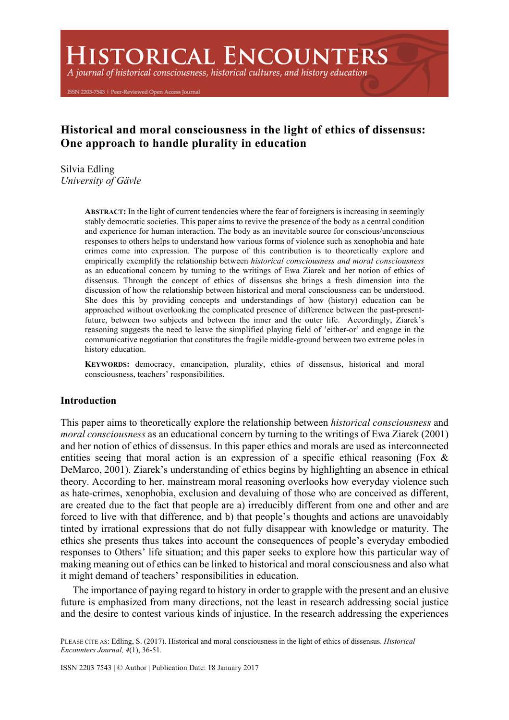# **HISTORICAL ENCOUNTERS**

A journal of historical consciousness, historical cultures, and history education

ISSN 2203-7543 | Peer-Reviewed Open Access Journal

## **Historical and moral consciousness in the light of ethics of dissensus: One approach to handle plurality in education**

Silvia Edling *University of Gävle*

> **ABSTRACT:** In the light of current tendencies where the fear of foreigners is increasing in seemingly stably democratic societies. This paper aims to revive the presence of the body as a central condition and experience for human interaction. The body as an inevitable source for conscious/unconscious responses to others helps to understand how various forms of violence such as xenophobia and hate crimes come into expression. The purpose of this contribution is to theoretically explore and empirically exemplify the relationship between *historical consciousness and moral consciousness* as an educational concern by turning to the writings of Ewa Ziarek and her notion of ethics of dissensus. Through the concept of ethics of dissensus she brings a fresh dimension into the discussion of how the relationship between historical and moral consciousness can be understood. She does this by providing concepts and understandings of how (history) education can be approached without overlooking the complicated presence of difference between the past-presentfuture, between two subjects and between the inner and the outer life. Accordingly, Ziarek's reasoning suggests the need to leave the simplified playing field of 'either-or' and engage in the communicative negotiation that constitutes the fragile middle-ground between two extreme poles in history education.

> **KEYWORDS:** democracy, emancipation, plurality, ethics of dissensus, historical and moral consciousness, teachers' responsibilities.

### **Introduction**

This paper aims to theoretically explore the relationship between *historical consciousness* and *moral consciousness* as an educational concern by turning to the writings of Ewa Ziarek (2001) and her notion of ethics of dissensus. In this paper ethics and morals are used as interconnected entities seeing that moral action is an expression of a specific ethical reasoning (Fox  $\&$ DeMarco, 2001). Ziarek's understanding of ethics begins by highlighting an absence in ethical theory. According to her, mainstream moral reasoning overlooks how everyday violence such as hate-crimes, xenophobia, exclusion and devaluing of those who are conceived as different, are created due to the fact that people are a) irreducibly different from one and other and are forced to live with that difference, and b) that people's thoughts and actions are unavoidably tinted by irrational expressions that do not fully disappear with knowledge or maturity. The ethics she presents thus takes into account the consequences of people's everyday embodied responses to Others' life situation; and this paper seeks to explore how this particular way of making meaning out of ethics can be linked to historical and moral consciousness and also what it might demand of teachers' responsibilities in education.

The importance of paying regard to history in order to grapple with the present and an elusive future is emphasized from many directions, not the least in research addressing social justice and the desire to contest various kinds of injustice. In the research addressing the experiences

PLEASE CITE AS: Edling, S. (2017). Historical and moral consciousness in the light of ethics of dissensus. *Historical Encounters Journal, 4*(1), 36-51.

ISSN 2203 7543 | © Author | Publication Date: 18 January 2017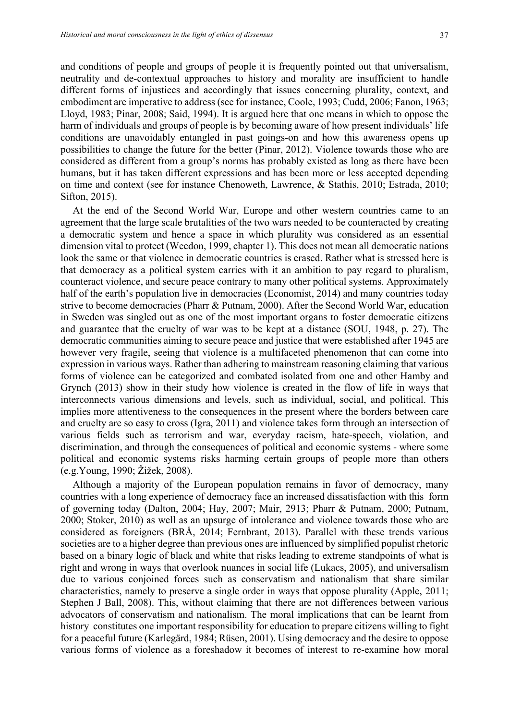and conditions of people and groups of people it is frequently pointed out that universalism, neutrality and de-contextual approaches to history and morality are insufficient to handle different forms of injustices and accordingly that issues concerning plurality, context, and embodiment are imperative to address (see for instance, Coole, 1993; Cudd, 2006; Fanon, 1963; Lloyd, 1983; Pinar, 2008; Said, 1994). It is argued here that one means in which to oppose the harm of individuals and groups of people is by becoming aware of how present individuals' life conditions are unavoidably entangled in past goings-on and how this awareness opens up possibilities to change the future for the better (Pinar, 2012). Violence towards those who are considered as different from a group's norms has probably existed as long as there have been humans, but it has taken different expressions and has been more or less accepted depending on time and context (see for instance Chenoweth, Lawrence, & Stathis, 2010; Estrada, 2010; Sifton, 2015).

At the end of the Second World War, Europe and other western countries came to an agreement that the large scale brutalities of the two wars needed to be counteracted by creating a democratic system and hence a space in which plurality was considered as an essential dimension vital to protect (Weedon, 1999, chapter 1). This does not mean all democratic nations look the same or that violence in democratic countries is erased. Rather what is stressed here is that democracy as a political system carries with it an ambition to pay regard to pluralism, counteract violence, and secure peace contrary to many other political systems. Approximately half of the earth's population live in democracies (Economist, 2014) and many countries today strive to become democracies (Pharr & Putnam, 2000). After the Second World War, education in Sweden was singled out as one of the most important organs to foster democratic citizens and guarantee that the cruelty of war was to be kept at a distance (SOU, 1948, p. 27). The democratic communities aiming to secure peace and justice that were established after 1945 are however very fragile, seeing that violence is a multifaceted phenomenon that can come into expression in various ways. Rather than adhering to mainstream reasoning claiming that various forms of violence can be categorized and combated isolated from one and other Hamby and Grynch (2013) show in their study how violence is created in the flow of life in ways that interconnects various dimensions and levels, such as individual, social, and political. This implies more attentiveness to the consequences in the present where the borders between care and cruelty are so easy to cross (Igra, 2011) and violence takes form through an intersection of various fields such as terrorism and war, everyday racism, hate-speech, violation, and discrimination, and through the consequences of political and economic systems - where some political and economic systems risks harming certain groups of people more than others (e.g.Young, 1990; Žižek, 2008).

Although a majority of the European population remains in favor of democracy, many countries with a long experience of democracy face an increased dissatisfaction with this form of governing today (Dalton, 2004; Hay, 2007; Mair, 2913; Pharr & Putnam, 2000; Putnam, 2000; Stoker, 2010) as well as an upsurge of intolerance and violence towards those who are considered as foreigners (BRÅ, 2014; Fernbrant, 2013). Parallel with these trends various societies are to a higher degree than previous ones are influenced by simplified populist rhetoric based on a binary logic of black and white that risks leading to extreme standpoints of what is right and wrong in ways that overlook nuances in social life (Lukacs, 2005), and universalism due to various conjoined forces such as conservatism and nationalism that share similar characteristics, namely to preserve a single order in ways that oppose plurality (Apple, 2011; Stephen J Ball, 2008). This, without claiming that there are not differences between various advocators of conservatism and nationalism. The moral implications that can be learnt from history constitutes one important responsibility for education to prepare citizens willing to fight for a peaceful future (Karlegärd, 1984; Rüsen, 2001). Using democracy and the desire to oppose various forms of violence as a foreshadow it becomes of interest to re-examine how moral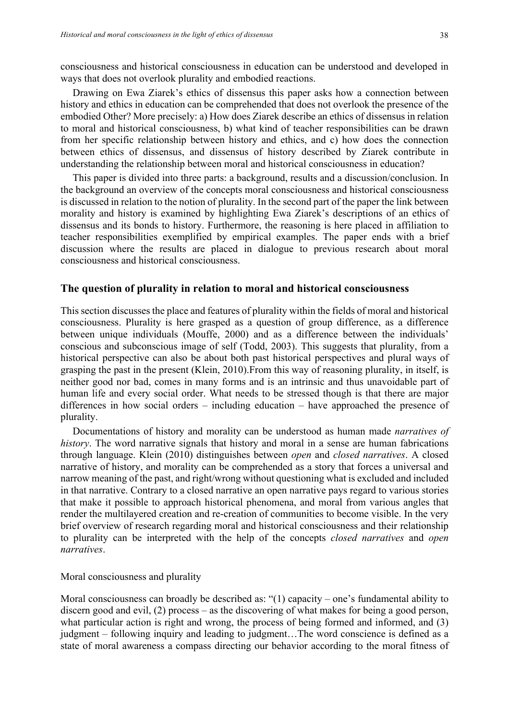consciousness and historical consciousness in education can be understood and developed in ways that does not overlook plurality and embodied reactions.

Drawing on Ewa Ziarek's ethics of dissensus this paper asks how a connection between history and ethics in education can be comprehended that does not overlook the presence of the embodied Other? More precisely: a) How does Ziarek describe an ethics of dissensus in relation to moral and historical consciousness, b) what kind of teacher responsibilities can be drawn from her specific relationship between history and ethics, and c) how does the connection between ethics of dissensus, and dissensus of history described by Ziarek contribute in understanding the relationship between moral and historical consciousness in education?

This paper is divided into three parts: a background, results and a discussion/conclusion. In the background an overview of the concepts moral consciousness and historical consciousness is discussed in relation to the notion of plurality. In the second part of the paper the link between morality and history is examined by highlighting Ewa Ziarek's descriptions of an ethics of dissensus and its bonds to history. Furthermore, the reasoning is here placed in affiliation to teacher responsibilities exemplified by empirical examples. The paper ends with a brief discussion where the results are placed in dialogue to previous research about moral consciousness and historical consciousness.

#### **The question of plurality in relation to moral and historical consciousness**

This section discusses the place and features of plurality within the fields of moral and historical consciousness. Plurality is here grasped as a question of group difference, as a difference between unique individuals (Mouffe, 2000) and as a difference between the individuals' conscious and subconscious image of self (Todd, 2003). This suggests that plurality, from a historical perspective can also be about both past historical perspectives and plural ways of grasping the past in the present (Klein, 2010).From this way of reasoning plurality, in itself, is neither good nor bad, comes in many forms and is an intrinsic and thus unavoidable part of human life and every social order. What needs to be stressed though is that there are major differences in how social orders – including education – have approached the presence of plurality.

Documentations of history and morality can be understood as human made *narratives of history*. The word narrative signals that history and moral in a sense are human fabrications through language. Klein (2010) distinguishes between *open* and *closed narratives*. A closed narrative of history, and morality can be comprehended as a story that forces a universal and narrow meaning of the past, and right/wrong without questioning what is excluded and included in that narrative. Contrary to a closed narrative an open narrative pays regard to various stories that make it possible to approach historical phenomena, and moral from various angles that render the multilayered creation and re-creation of communities to become visible. In the very brief overview of research regarding moral and historical consciousness and their relationship to plurality can be interpreted with the help of the concepts *closed narratives* and *open narratives*.

Moral consciousness and plurality

Moral consciousness can broadly be described as: "(1) capacity – one's fundamental ability to discern good and evil, (2) process – as the discovering of what makes for being a good person, what particular action is right and wrong, the process of being formed and informed, and (3) judgment – following inquiry and leading to judgment…The word conscience is defined as a state of moral awareness a compass directing our behavior according to the moral fitness of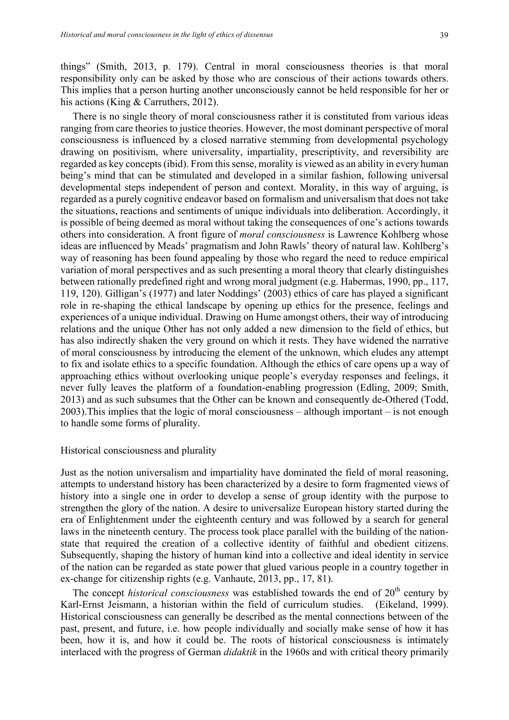things" (Smith, 2013, p. 179). Central in moral consciousness theories is that moral responsibility only can be asked by those who are conscious of their actions towards others. This implies that a person hurting another unconsciously cannot be held responsible for her or his actions (King & Carruthers, 2012).

There is no single theory of moral consciousness rather it is constituted from various ideas ranging from care theories to justice theories. However, the most dominant perspective of moral consciousness is influenced by a closed narrative stemming from developmental psychology drawing on positivism, where universality, impartiality, prescriptivity, and reversibility are regarded as key concepts (ibid). From this sense, morality is viewed as an ability in every human being's mind that can be stimulated and developed in a similar fashion, following universal developmental steps independent of person and context. Morality, in this way of arguing, is regarded as a purely cognitive endeavor based on formalism and universalism that does not take the situations, reactions and sentiments of unique individuals into deliberation. Accordingly, it is possible of being deemed as moral without taking the consequences of one's actions towards others into consideration. A front figure of *moral consciousness* is Lawrence Kohlberg whose ideas are influenced by Meads' pragmatism and John Rawls' theory of natural law. Kohlberg's way of reasoning has been found appealing by those who regard the need to reduce empirical variation of moral perspectives and as such presenting a moral theory that clearly distinguishes between rationally predefined right and wrong moral judgment (e.g. Habermas, 1990, pp., 117, 119, 120). Gilligan's (1977) and later Noddings' (2003) ethics of care has played a significant role in re-shaping the ethical landscape by opening up ethics for the presence, feelings and experiences of a unique individual. Drawing on Hume amongst others, their way of introducing relations and the unique Other has not only added a new dimension to the field of ethics, but has also indirectly shaken the very ground on which it rests. They have widened the narrative of moral consciousness by introducing the element of the unknown, which eludes any attempt to fix and isolate ethics to a specific foundation. Although the ethics of care opens up a way of approaching ethics without overlooking unique people's everyday responses and feelings, it never fully leaves the platform of a foundation-enabling progression (Edling, 2009; Smith, 2013) and as such subsumes that the Other can be known and consequently de-Othered (Todd, 2003).This implies that the logic of moral consciousness – although important – is not enough to handle some forms of plurality.

#### Historical consciousness and plurality

Just as the notion universalism and impartiality have dominated the field of moral reasoning, attempts to understand history has been characterized by a desire to form fragmented views of history into a single one in order to develop a sense of group identity with the purpose to strengthen the glory of the nation. A desire to universalize European history started during the era of Enlightenment under the eighteenth century and was followed by a search for general laws in the nineteenth century. The process took place parallel with the building of the nationstate that required the creation of a collective identity of faithful and obedient citizens. Subsequently, shaping the history of human kind into a collective and ideal identity in service of the nation can be regarded as state power that glued various people in a country together in ex-change for citizenship rights (e.g. Vanhaute, 2013, pp., 17, 81).

The concept *historical consciousness* was established towards the end of 20<sup>th</sup> century by Karl-Ernst Jeismann, a historian within the field of curriculum studies. (Eikeland, 1999). Historical consciousness can generally be described as the mental connections between of the past, present, and future, i.e. how people individually and socially make sense of how it has been, how it is, and how it could be. The roots of historical consciousness is intimately interlaced with the progress of German *didaktik* in the 1960s and with critical theory primarily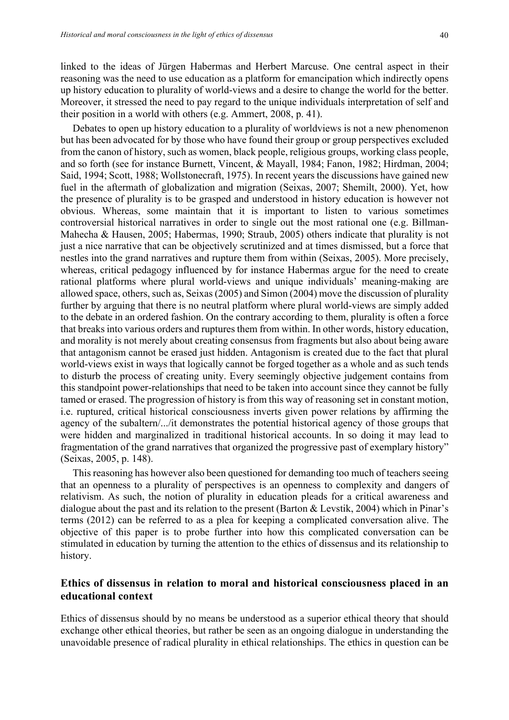linked to the ideas of Jürgen Habermas and Herbert Marcuse. One central aspect in their reasoning was the need to use education as a platform for emancipation which indirectly opens up history education to plurality of world-views and a desire to change the world for the better. Moreover, it stressed the need to pay regard to the unique individuals interpretation of self and their position in a world with others (e.g. Ammert, 2008, p. 41).

Debates to open up history education to a plurality of worldviews is not a new phenomenon but has been advocated for by those who have found their group or group perspectives excluded from the canon of history, such as women, black people, religious groups, working class people, and so forth (see for instance Burnett, Vincent, & Mayall, 1984; Fanon, 1982; Hirdman, 2004; Said, 1994; Scott, 1988; Wollstonecraft, 1975). In recent years the discussions have gained new fuel in the aftermath of globalization and migration (Seixas, 2007; Shemilt, 2000). Yet, how the presence of plurality is to be grasped and understood in history education is however not obvious. Whereas, some maintain that it is important to listen to various sometimes controversial historical narratives in order to single out the most rational one (e.g. Billman-Mahecha & Hausen, 2005; Habermas, 1990; Straub, 2005) others indicate that plurality is not just a nice narrative that can be objectively scrutinized and at times dismissed, but a force that nestles into the grand narratives and rupture them from within (Seixas, 2005). More precisely, whereas, critical pedagogy influenced by for instance Habermas argue for the need to create rational platforms where plural world-views and unique individuals' meaning-making are allowed space, others, such as, Seixas (2005) and Simon (2004) move the discussion of plurality further by arguing that there is no neutral platform where plural world-views are simply added to the debate in an ordered fashion. On the contrary according to them, plurality is often a force that breaks into various orders and ruptures them from within. In other words, history education, and morality is not merely about creating consensus from fragments but also about being aware that antagonism cannot be erased just hidden. Antagonism is created due to the fact that plural world-views exist in ways that logically cannot be forged together as a whole and as such tends to disturb the process of creating unity. Every seemingly objective judgement contains from this standpoint power-relationships that need to be taken into account since they cannot be fully tamed or erased. The progression of history is from this way of reasoning set in constant motion, i.e. ruptured, critical historical consciousness inverts given power relations by affirming the agency of the subaltern/.../it demonstrates the potential historical agency of those groups that were hidden and marginalized in traditional historical accounts. In so doing it may lead to fragmentation of the grand narratives that organized the progressive past of exemplary history" (Seixas, 2005, p. 148).

This reasoning has however also been questioned for demanding too much of teachers seeing that an openness to a plurality of perspectives is an openness to complexity and dangers of relativism. As such, the notion of plurality in education pleads for a critical awareness and dialogue about the past and its relation to the present (Barton & Levstik, 2004) which in Pinar's terms (2012) can be referred to as a plea for keeping a complicated conversation alive. The objective of this paper is to probe further into how this complicated conversation can be stimulated in education by turning the attention to the ethics of dissensus and its relationship to history.

## **Ethics of dissensus in relation to moral and historical consciousness placed in an educational context**

Ethics of dissensus should by no means be understood as a superior ethical theory that should exchange other ethical theories, but rather be seen as an ongoing dialogue in understanding the unavoidable presence of radical plurality in ethical relationships. The ethics in question can be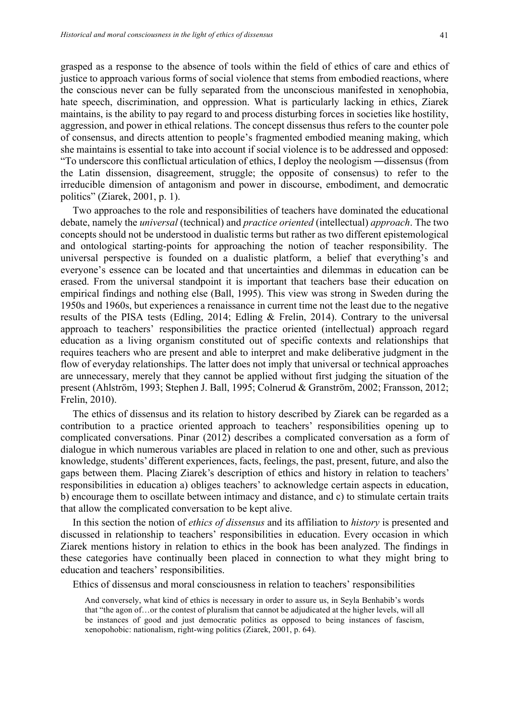grasped as a response to the absence of tools within the field of ethics of care and ethics of justice to approach various forms of social violence that stems from embodied reactions, where the conscious never can be fully separated from the unconscious manifested in xenophobia, hate speech, discrimination, and oppression. What is particularly lacking in ethics, Ziarek maintains, is the ability to pay regard to and process disturbing forces in societies like hostility, aggression, and power in ethical relations. The concept dissensus thus refers to the counter pole of consensus, and directs attention to people's fragmented embodied meaning making, which she maintains is essential to take into account if social violence is to be addressed and opposed: "To underscore this conflictual articulation of ethics, I deploy the neologism ―dissensus (from the Latin dissension, disagreement, struggle; the opposite of consensus) to refer to the irreducible dimension of antagonism and power in discourse, embodiment, and democratic politics" (Ziarek, 2001, p. 1).

Two approaches to the role and responsibilities of teachers have dominated the educational debate, namely the *universal* (technical) and *practice oriented* (intellectual) *approach*. The two concepts should not be understood in dualistic terms but rather as two different epistemological and ontological starting-points for approaching the notion of teacher responsibility. The universal perspective is founded on a dualistic platform, a belief that everything's and everyone's essence can be located and that uncertainties and dilemmas in education can be erased. From the universal standpoint it is important that teachers base their education on empirical findings and nothing else (Ball, 1995). This view was strong in Sweden during the 1950s and 1960s, but experiences a renaissance in current time not the least due to the negative results of the PISA tests (Edling, 2014; Edling & Frelin, 2014). Contrary to the universal approach to teachers' responsibilities the practice oriented (intellectual) approach regard education as a living organism constituted out of specific contexts and relationships that requires teachers who are present and able to interpret and make deliberative judgment in the flow of everyday relationships. The latter does not imply that universal or technical approaches are unnecessary, merely that they cannot be applied without first judging the situation of the present (Ahlström, 1993; Stephen J. Ball, 1995; Colnerud & Granström, 2002; Fransson, 2012; Frelin, 2010).

The ethics of dissensus and its relation to history described by Ziarek can be regarded as a contribution to a practice oriented approach to teachers' responsibilities opening up to complicated conversations. Pinar (2012) describes a complicated conversation as a form of dialogue in which numerous variables are placed in relation to one and other, such as previous knowledge, students' different experiences, facts, feelings, the past, present, future, and also the gaps between them. Placing Ziarek's description of ethics and history in relation to teachers' responsibilities in education a) obliges teachers' to acknowledge certain aspects in education, b) encourage them to oscillate between intimacy and distance, and c) to stimulate certain traits that allow the complicated conversation to be kept alive.

In this section the notion of *ethics of dissensus* and its affiliation to *history* is presented and discussed in relationship to teachers' responsibilities in education. Every occasion in which Ziarek mentions history in relation to ethics in the book has been analyzed. The findings in these categories have continually been placed in connection to what they might bring to education and teachers' responsibilities.

Ethics of dissensus and moral consciousness in relation to teachers' responsibilities

And conversely, what kind of ethics is necessary in order to assure us, in Seyla Benhabib's words that "the agon of…or the contest of pluralism that cannot be adjudicated at the higher levels, will all be instances of good and just democratic politics as opposed to being instances of fascism, xenopohobic: nationalism, right-wing politics (Ziarek, 2001, p. 64).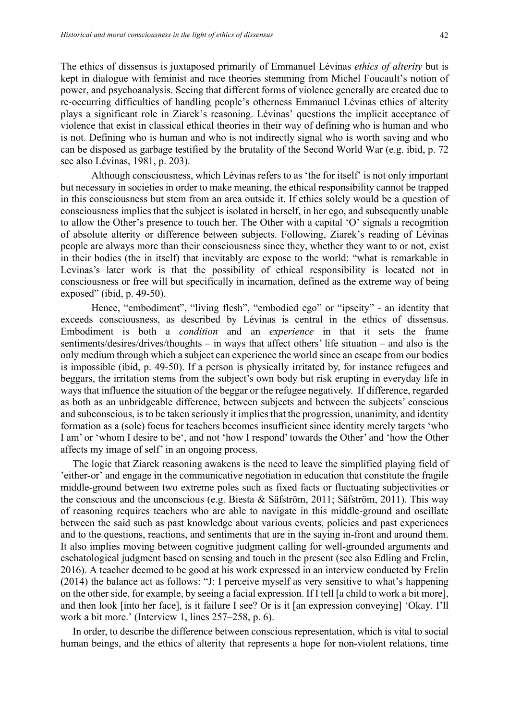The ethics of dissensus is juxtaposed primarily of Emmanuel Lévinas *ethics of alterity* but is kept in dialogue with feminist and race theories stemming from Michel Foucault's notion of power, and psychoanalysis. Seeing that different forms of violence generally are created due to re-occurring difficulties of handling people's otherness Emmanuel Lévinas ethics of alterity plays a significant role in Ziarek's reasoning. Lévinas' questions the implicit acceptance of violence that exist in classical ethical theories in their way of defining who is human and who is not. Defining who is human and who is not indirectly signal who is worth saving and who can be disposed as garbage testified by the brutality of the Second World War (e.g. ibid, p. 72 see also Lévinas, 1981, p. 203).

Although consciousness, which Lévinas refers to as 'the for itself' is not only important but necessary in societies in order to make meaning, the ethical responsibility cannot be trapped in this consciousness but stem from an area outside it. If ethics solely would be a question of consciousness implies that the subject is isolated in herself, in her ego, and subsequently unable to allow the Other's presence to touch her. The Other with a capital 'O' signals a recognition of absolute alterity or difference between subjects. Following, Ziarek's reading of Lévinas people are always more than their consciousness since they, whether they want to or not, exist in their bodies (the in itself) that inevitably are expose to the world: "what is remarkable in Levinas's later work is that the possibility of ethical responsibility is located not in consciousness or free will but specifically in incarnation, defined as the extreme way of being exposed" (ibid, p. 49-50).

Hence, "embodiment", "living flesh", "embodied ego" or "ipseity" - an identity that exceeds consciousness, as described by Lévinas is central in the ethics of dissensus. Embodiment is both a *condition* and an *experience* in that it sets the frame sentiments/desires/drives/thoughts – in ways that affect others' life situation – and also is the only medium through which a subject can experience the world since an escape from our bodies is impossible (ibid, p. 49-50). If a person is physically irritated by, for instance refugees and beggars, the irritation stems from the subject's own body but risk erupting in everyday life in ways that influence the situation of the beggar or the refugee negatively. If difference, regarded as both as an unbridgeable difference, between subjects and between the subjects' conscious and subconscious, is to be taken seriously it implies that the progression, unanimity, and identity formation as a (sole) focus for teachers becomes insufficient since identity merely targets 'who I am' or 'whom I desire to be', and not 'how I respond' towards the Other' and 'how the Other affects my image of self' in an ongoing process.

The logic that Ziarek reasoning awakens is the need to leave the simplified playing field of 'either-or' and engage in the communicative negotiation in education that constitute the fragile middle-ground between two extreme poles such as fixed facts or fluctuating subjectivities or the conscious and the unconscious (e.g. Biesta & Säfström, 2011; Säfström, 2011). This way of reasoning requires teachers who are able to navigate in this middle-ground and oscillate between the said such as past knowledge about various events, policies and past experiences and to the questions, reactions, and sentiments that are in the saying in-front and around them. It also implies moving between cognitive judgment calling for well-grounded arguments and eschatological judgment based on sensing and touch in the present (see also Edling and Frelin, 2016). A teacher deemed to be good at his work expressed in an interview conducted by Frelin (2014) the balance act as follows: "J: I perceive myself as very sensitive to what's happening on the other side, for example, by seeing a facial expression. If I tell [a child to work a bit more], and then look [into her face], is it failure I see? Or is it [an expression conveying] 'Okay. I'll work a bit more.' (Interview 1, lines 257–258, p. 6).

In order, to describe the difference between conscious representation, which is vital to social human beings, and the ethics of alterity that represents a hope for non-violent relations, time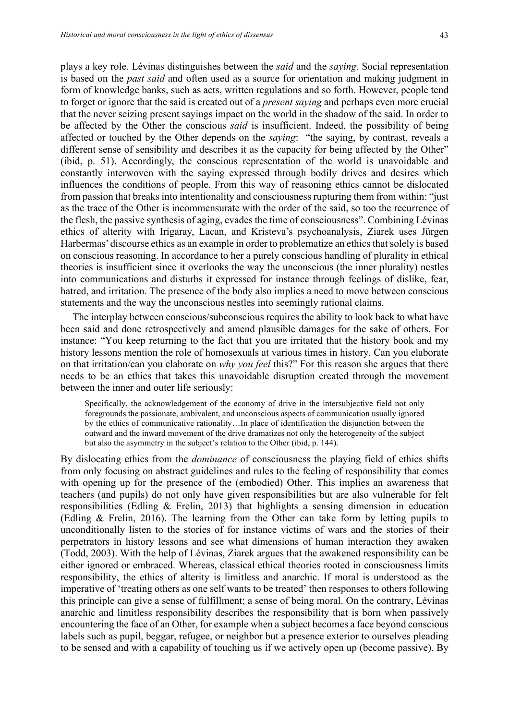plays a key role. Lévinas distinguishes between the *said* and the *saying*. Social representation is based on the *past said* and often used as a source for orientation and making judgment in form of knowledge banks, such as acts, written regulations and so forth. However, people tend to forget or ignore that the said is created out of a *present saying* and perhaps even more crucial that the never seizing present sayings impact on the world in the shadow of the said. In order to be affected by the Other the conscious *said* is insufficient. Indeed, the possibility of being affected or touched by the Other depends on the *saying*: "the saying, by contrast, reveals a different sense of sensibility and describes it as the capacity for being affected by the Other" (ibid, p. 51). Accordingly, the conscious representation of the world is unavoidable and constantly interwoven with the saying expressed through bodily drives and desires which influences the conditions of people. From this way of reasoning ethics cannot be dislocated from passion that breaks into intentionality and consciousness rupturing them from within: "just as the trace of the Other is incommensurate with the order of the said, so too the recurrence of the flesh, the passive synthesis of aging, evades the time of consciousness". Combining Lévinas ethics of alterity with Irigaray, Lacan, and Kristeva's psychoanalysis, Ziarek uses Jürgen Harbermas' discourse ethics as an example in order to problematize an ethics that solely is based on conscious reasoning. In accordance to her a purely conscious handling of plurality in ethical theories is insufficient since it overlooks the way the unconscious (the inner plurality) nestles into communications and disturbs it expressed for instance through feelings of dislike, fear, hatred, and irritation. The presence of the body also implies a need to move between conscious statements and the way the unconscious nestles into seemingly rational claims.

The interplay between conscious/subconscious requires the ability to look back to what have been said and done retrospectively and amend plausible damages for the sake of others. For instance: "You keep returning to the fact that you are irritated that the history book and my history lessons mention the role of homosexuals at various times in history. Can you elaborate on that irritation/can you elaborate on *why you feel* this?" For this reason she argues that there needs to be an ethics that takes this unavoidable disruption created through the movement between the inner and outer life seriously:

Specifically, the acknowledgement of the economy of drive in the intersubjective field not only foregrounds the passionate, ambivalent, and unconscious aspects of communication usually ignored by the ethics of communicative rationality…In place of identification the disjunction between the outward and the inward movement of the drive dramatizes not only the heterogeneity of the subject but also the asymmetry in the subject's relation to the Other (ibid, p. 144).

By dislocating ethics from the *dominance* of consciousness the playing field of ethics shifts from only focusing on abstract guidelines and rules to the feeling of responsibility that comes with opening up for the presence of the (embodied) Other. This implies an awareness that teachers (and pupils) do not only have given responsibilities but are also vulnerable for felt responsibilities (Edling & Frelin, 2013) that highlights a sensing dimension in education (Edling & Frelin, 2016). The learning from the Other can take form by letting pupils to unconditionally listen to the stories of for instance victims of wars and the stories of their perpetrators in history lessons and see what dimensions of human interaction they awaken (Todd, 2003). With the help of Lévinas, Ziarek argues that the awakened responsibility can be either ignored or embraced. Whereas, classical ethical theories rooted in consciousness limits responsibility, the ethics of alterity is limitless and anarchic. If moral is understood as the imperative of 'treating others as one self wants to be treated' then responses to others following this principle can give a sense of fulfillment; a sense of being moral. On the contrary, Lévinas anarchic and limitless responsibility describes the responsibility that is born when passively encountering the face of an Other, for example when a subject becomes a face beyond conscious labels such as pupil, beggar, refugee, or neighbor but a presence exterior to ourselves pleading to be sensed and with a capability of touching us if we actively open up (become passive). By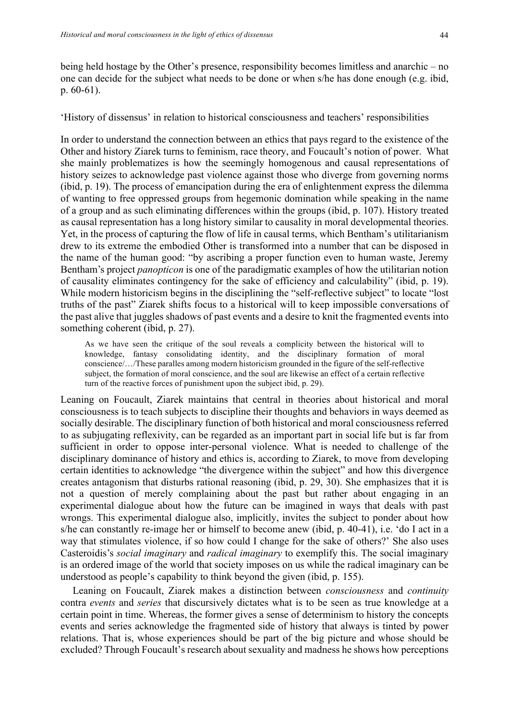being held hostage by the Other's presence, responsibility becomes limitless and anarchic – no one can decide for the subject what needs to be done or when s/he has done enough (e.g. ibid, p. 60-61).

'History of dissensus' in relation to historical consciousness and teachers' responsibilities

In order to understand the connection between an ethics that pays regard to the existence of the Other and history Ziarek turns to feminism, race theory, and Foucault's notion of power. What she mainly problematizes is how the seemingly homogenous and causal representations of history seizes to acknowledge past violence against those who diverge from governing norms (ibid, p. 19). The process of emancipation during the era of enlightenment express the dilemma of wanting to free oppressed groups from hegemonic domination while speaking in the name of a group and as such eliminating differences within the groups (ibid, p. 107). History treated as causal representation has a long history similar to causality in moral developmental theories. Yet, in the process of capturing the flow of life in causal terms, which Bentham's utilitarianism drew to its extreme the embodied Other is transformed into a number that can be disposed in the name of the human good: "by ascribing a proper function even to human waste, Jeremy Bentham's project *panopticon* is one of the paradigmatic examples of how the utilitarian notion of causality eliminates contingency for the sake of efficiency and calculability" (ibid, p. 19). While modern historicism begins in the disciplining the "self-reflective subject" to locate "lost truths of the past" Ziarek shifts focus to a historical will to keep impossible conversations of the past alive that juggles shadows of past events and a desire to knit the fragmented events into something coherent (ibid, p. 27).

As we have seen the critique of the soul reveals a complicity between the historical will to knowledge, fantasy consolidating identity, and the disciplinary formation of moral conscience/…/These paralles among modern historicism grounded in the figure of the self-reflective subject, the formation of moral conscience, and the soul are likewise an effect of a certain reflective turn of the reactive forces of punishment upon the subject ibid, p. 29).

Leaning on Foucault, Ziarek maintains that central in theories about historical and moral consciousness is to teach subjects to discipline their thoughts and behaviors in ways deemed as socially desirable. The disciplinary function of both historical and moral consciousness referred to as subjugating reflexivity, can be regarded as an important part in social life but is far from sufficient in order to oppose inter-personal violence. What is needed to challenge of the disciplinary dominance of history and ethics is, according to Ziarek, to move from developing certain identities to acknowledge "the divergence within the subject" and how this divergence creates antagonism that disturbs rational reasoning (ibid, p. 29, 30). She emphasizes that it is not a question of merely complaining about the past but rather about engaging in an experimental dialogue about how the future can be imagined in ways that deals with past wrongs. This experimental dialogue also, implicitly, invites the subject to ponder about how s/he can constantly re-image her or himself to become anew (ibid, p. 40-41), i.e. 'do I act in a way that stimulates violence, if so how could I change for the sake of others?' She also uses Casteroidis's *social imaginary* and *radical imaginary* to exemplify this. The social imaginary is an ordered image of the world that society imposes on us while the radical imaginary can be understood as people's capability to think beyond the given (ibid, p. 155).

Leaning on Foucault, Ziarek makes a distinction between *consciousness* and *continuity* contra *events* and *series* that discursively dictates what is to be seen as true knowledge at a certain point in time. Whereas, the former gives a sense of determinism to history the concepts events and series acknowledge the fragmented side of history that always is tinted by power relations. That is, whose experiences should be part of the big picture and whose should be excluded? Through Foucault's research about sexuality and madness he shows how perceptions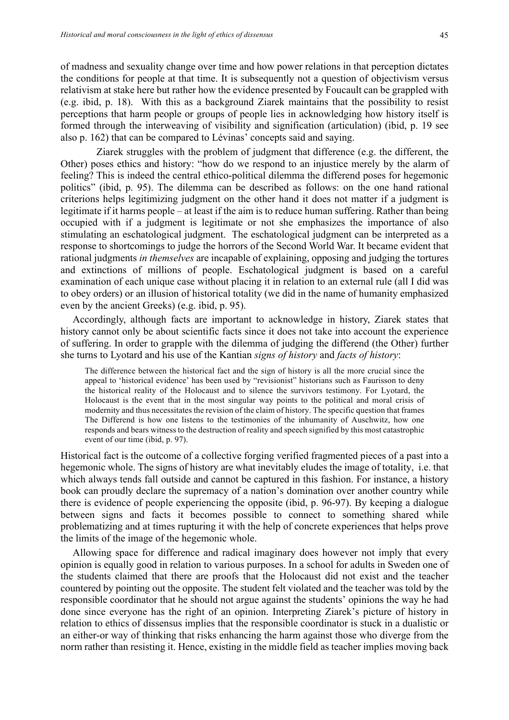of madness and sexuality change over time and how power relations in that perception dictates the conditions for people at that time. It is subsequently not a question of objectivism versus relativism at stake here but rather how the evidence presented by Foucault can be grappled with (e.g. ibid, p. 18). With this as a background Ziarek maintains that the possibility to resist perceptions that harm people or groups of people lies in acknowledging how history itself is formed through the interweaving of visibility and signification (articulation) (ibid, p. 19 see also p. 162) that can be compared to Lévinas' concepts said and saying.

 Ziarek struggles with the problem of judgment that difference (e.g. the different, the Other) poses ethics and history: "how do we respond to an injustice merely by the alarm of feeling? This is indeed the central ethico-political dilemma the differend poses for hegemonic politics" (ibid, p. 95). The dilemma can be described as follows: on the one hand rational criterions helps legitimizing judgment on the other hand it does not matter if a judgment is legitimate if it harms people – at least if the aim is to reduce human suffering. Rather than being occupied with if a judgment is legitimate or not she emphasizes the importance of also stimulating an eschatological judgment. The eschatological judgment can be interpreted as a response to shortcomings to judge the horrors of the Second World War. It became evident that rational judgments *in themselves* are incapable of explaining, opposing and judging the tortures and extinctions of millions of people. Eschatological judgment is based on a careful examination of each unique case without placing it in relation to an external rule (all I did was to obey orders) or an illusion of historical totality (we did in the name of humanity emphasized even by the ancient Greeks) (e.g. ibid, p. 95).

Accordingly, although facts are important to acknowledge in history, Ziarek states that history cannot only be about scientific facts since it does not take into account the experience of suffering. In order to grapple with the dilemma of judging the differend (the Other) further she turns to Lyotard and his use of the Kantian *signs of history* and *facts of history*:

The difference between the historical fact and the sign of history is all the more crucial since the appeal to 'historical evidence' has been used by "revisionist" historians such as Faurisson to deny the historical reality of the Holocaust and to silence the survivors testimony. For Lyotard, the Holocaust is the event that in the most singular way points to the political and moral crisis of modernity and thus necessitates the revision of the claim of history. The specific question that frames The Differend is how one listens to the testimonies of the inhumanity of Auschwitz, how one responds and bears witness to the destruction of reality and speech signified by this most catastrophic event of our time (ibid, p. 97).

Historical fact is the outcome of a collective forging verified fragmented pieces of a past into a hegemonic whole. The signs of history are what inevitably eludes the image of totality, i.e. that which always tends fall outside and cannot be captured in this fashion. For instance, a history book can proudly declare the supremacy of a nation's domination over another country while there is evidence of people experiencing the opposite (ibid, p. 96-97). By keeping a dialogue between signs and facts it becomes possible to connect to something shared while problematizing and at times rupturing it with the help of concrete experiences that helps prove the limits of the image of the hegemonic whole.

Allowing space for difference and radical imaginary does however not imply that every opinion is equally good in relation to various purposes. In a school for adults in Sweden one of the students claimed that there are proofs that the Holocaust did not exist and the teacher countered by pointing out the opposite. The student felt violated and the teacher was told by the responsible coordinator that he should not argue against the students' opinions the way he had done since everyone has the right of an opinion. Interpreting Ziarek's picture of history in relation to ethics of dissensus implies that the responsible coordinator is stuck in a dualistic or an either-or way of thinking that risks enhancing the harm against those who diverge from the norm rather than resisting it. Hence, existing in the middle field as teacher implies moving back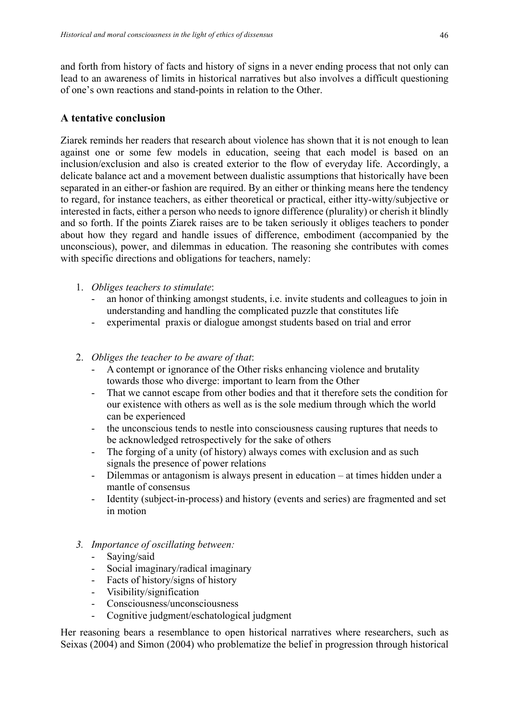and forth from history of facts and history of signs in a never ending process that not only can lead to an awareness of limits in historical narratives but also involves a difficult questioning of one's own reactions and stand-points in relation to the Other.

## **A tentative conclusion**

Ziarek reminds her readers that research about violence has shown that it is not enough to lean against one or some few models in education, seeing that each model is based on an inclusion/exclusion and also is created exterior to the flow of everyday life. Accordingly, a delicate balance act and a movement between dualistic assumptions that historically have been separated in an either-or fashion are required. By an either or thinking means here the tendency to regard, for instance teachers, as either theoretical or practical, either itty-witty/subjective or interested in facts, either a person who needs to ignore difference (plurality) or cherish it blindly and so forth. If the points Ziarek raises are to be taken seriously it obliges teachers to ponder about how they regard and handle issues of difference, embodiment (accompanied by the unconscious), power, and dilemmas in education. The reasoning she contributes with comes with specific directions and obligations for teachers, namely:

- 1. *Obliges teachers to stimulate*:
	- an honor of thinking amongst students, i.e. invite students and colleagues to join in understanding and handling the complicated puzzle that constitutes life
	- experimental praxis or dialogue amongst students based on trial and error
- 2. *Obliges the teacher to be aware of that*:
	- A contempt or ignorance of the Other risks enhancing violence and brutality towards those who diverge: important to learn from the Other
	- That we cannot escape from other bodies and that it therefore sets the condition for our existence with others as well as is the sole medium through which the world can be experienced
	- the unconscious tends to nestle into consciousness causing ruptures that needs to be acknowledged retrospectively for the sake of others
	- The forging of a unity (of history) always comes with exclusion and as such signals the presence of power relations
	- Dilemmas or antagonism is always present in education at times hidden under a mantle of consensus
	- Identity (subject-in-process) and history (events and series) are fragmented and set in motion
- *3. Importance of oscillating between:* 
	- Saying/said
	- Social imaginary/radical imaginary
	- Facts of history/signs of history
	- Visibility/signification
	- Consciousness/unconsciousness
	- Cognitive judgment/eschatological judgment

Her reasoning bears a resemblance to open historical narratives where researchers, such as Seixas (2004) and Simon (2004) who problematize the belief in progression through historical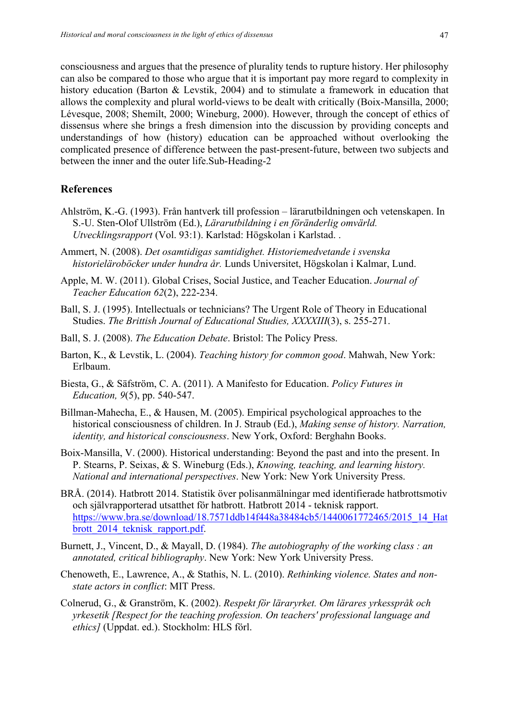consciousness and argues that the presence of plurality tends to rupture history. Her philosophy can also be compared to those who argue that it is important pay more regard to complexity in history education (Barton & Levstik, 2004) and to stimulate a framework in education that allows the complexity and plural world-views to be dealt with critically (Boix-Mansilla, 2000; Lévesque, 2008; Shemilt, 2000; Wineburg, 2000). However, through the concept of ethics of dissensus where she brings a fresh dimension into the discussion by providing concepts and understandings of how (history) education can be approached without overlooking the complicated presence of difference between the past-present-future, between two subjects and between the inner and the outer life.Sub-Heading-2

#### **References**

- Ahlström, K.-G. (1993). Från hantverk till profession lärarutbildningen och vetenskapen. In S.-U. Sten-Olof Ullström (Ed.), *Lärarutbildning i en föränderlig omvärld. Utvecklingsrapport* (Vol. 93:1). Karlstad: Högskolan i Karlstad. .
- Ammert, N. (2008). *Det osamtidigas samtidighet. Historiemedvetande i svenska historieläroböcker under hundra år.* Lunds Universitet, Högskolan i Kalmar, Lund.
- Apple, M. W. (2011). Global Crises, Social Justice, and Teacher Education. *Journal of Teacher Education 62*(2), 222-234.
- Ball, S. J. (1995). Intellectuals or technicians? The Urgent Role of Theory in Educational Studies. *The Brittish Journal of Educational Studies, XXXXIII*(3), s. 255-271.
- Ball, S. J. (2008). *The Education Debate*. Bristol: The Policy Press.
- Barton, K., & Levstik, L. (2004). *Teaching history for common good*. Mahwah, New York: Erlbaum.
- Biesta, G., & Säfström, C. A. (2011). A Manifesto for Education. *Policy Futures in Education, 9*(5), pp. 540-547.
- Billman-Mahecha, E., & Hausen, M. (2005). Empirical psychological approaches to the historical consciousness of children. In J. Straub (Ed.), *Making sense of history. Narration, identity, and historical consciousness*. New York, Oxford: Berghahn Books.
- Boix-Mansilla, V. (2000). Historical understanding: Beyond the past and into the present. In P. Stearns, P. Seixas, & S. Wineburg (Eds.), *Knowing, teaching, and learning history. National and international perspectives*. New York: New York University Press.
- BRÅ. (2014). Hatbrott 2014. Statistik över polisanmälningar med identifierade hatbrottsmotiv och självrapporterad utsatthet för hatbrott. Hatbrott 2014 - teknisk rapport. https://www.bra.se/download/18.7571ddb14f448a38484cb5/1440061772465/2015\_14\_Hat brott 2014 teknisk rapport.pdf.
- Burnett, J., Vincent, D., & Mayall, D. (1984). *The autobiography of the working class : an annotated, critical bibliography*. New York: New York University Press.
- Chenoweth, E., Lawrence, A., & Stathis, N. L. (2010). *Rethinking violence. States and nonstate actors in conflict*: MIT Press.
- Colnerud, G., & Granström, K. (2002). *Respekt för läraryrket. Om lärares yrkesspråk och yrkesetik [Respect for the teaching profession. On teachers' professional language and ethics]* (Uppdat. ed.). Stockholm: HLS förl.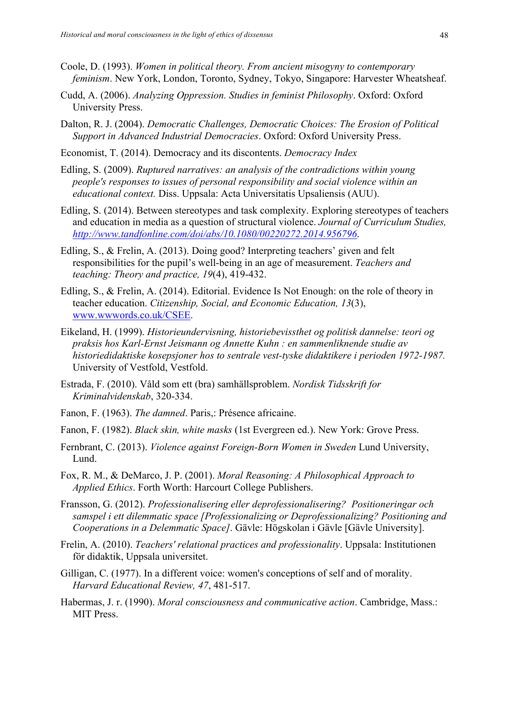- Coole, D. (1993). *Women in political theory. From ancient misogyny to contemporary feminism*. New York, London, Toronto, Sydney, Tokyo, Singapore: Harvester Wheatsheaf.
- Cudd, A. (2006). *Analyzing Oppression. Studies in feminist Philosophy*. Oxford: Oxford University Press.
- Dalton, R. J. (2004). *Democratic Challenges, Democratic Choices: The Erosion of Political Support in Advanced Industrial Democracies*. Oxford: Oxford University Press.
- Economist, T. (2014). Democracy and its discontents. *Democracy Index*
- Edling, S. (2009). *Ruptured narratives: an analysis of the contradictions within young people's responses to issues of personal responsibility and social violence within an educational context.* Diss. Uppsala: Acta Universitatis Upsaliensis (AUU).
- Edling, S. (2014). Between stereotypes and task complexity. Exploring stereotypes of teachers and education in media as a question of structural violence. *Journal of Curriculum Studies, http://www.tandfonline.com/doi/abs/10.1080/00220272.2014.956796*.
- Edling, S., & Frelin, A. (2013). Doing good? Interpreting teachers' given and felt responsibilities for the pupil's well-being in an age of measurement. *Teachers and teaching: Theory and practice, 19*(4), 419-432.
- Edling, S., & Frelin, A. (2014). Editorial. Evidence Is Not Enough: on the role of theory in teacher education. *Citizenship, Social, and Economic Education, 13*(3), www.wwwords.co.uk/CSEE.
- Eikeland, H. (1999). *Historieundervisning, historiebevissthet og politisk dannelse: teori og praksis hos Karl-Ernst Jeismann og Annette Kuhn : en sammenliknende studie av historiedidaktiske kosepsjoner hos to sentrale vest-tyske didaktikere i perioden 1972-1987.* University of Vestfold, Vestfold.
- Estrada, F. (2010). Våld som ett (bra) samhällsproblem. *Nordisk Tidsskrift for Kriminalvidenskab*, 320-334.
- Fanon, F. (1963). *The damned*. Paris,: Présence africaine.
- Fanon, F. (1982). *Black skin, white masks* (1st Evergreen ed.). New York: Grove Press.
- Fernbrant, C. (2013). *Violence against Foreign-Born Women in Sweden* Lund University, Lund.
- Fox, R. M., & DeMarco, J. P. (2001). *Moral Reasoning: A Philosophical Approach to Applied Ethics*. Forth Worth: Harcourt College Publishers.
- Fransson, G. (2012). *Professionalisering eller deprofessionalisering? Positioneringar och samspel i ett dilemmatic space [Professionalizing or Deprofessionalizing? Positioning and Cooperations in a Delemmatic Space]*. Gävle: Högskolan i Gävle [Gävle University].
- Frelin, A. (2010). *Teachers' relational practices and professionality*. Uppsala: Institutionen för didaktik, Uppsala universitet.
- Gilligan, C. (1977). In a different voice: women's conceptions of self and of morality. *Harvard Educational Review, 47*, 481-517.
- Habermas, J. r. (1990). *Moral consciousness and communicative action*. Cambridge, Mass.: MIT Press.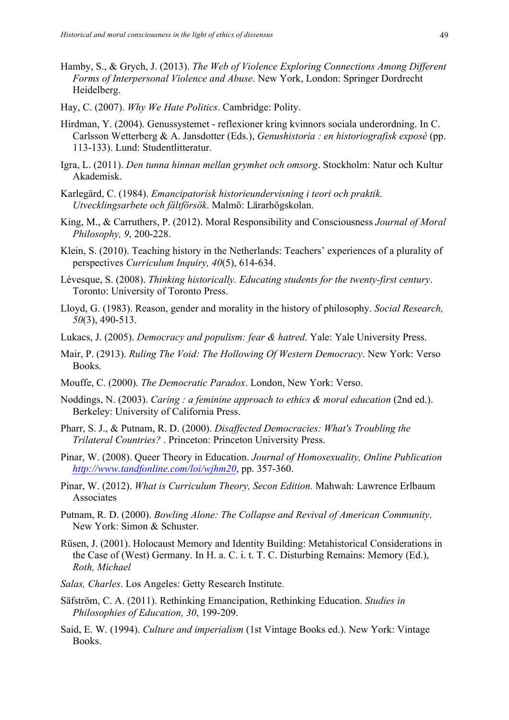- Hamby, S., & Grych, J. (2013). *The Web of Violence Exploring Connections Among Different Forms of Interpersonal Violence and Abuse*. New York, London: Springer Dordrecht Heidelberg.
- Hay, C. (2007). *Why We Hate Politics*. Cambridge: Polity.
- Hirdman, Y. (2004). Genussystemet reflexioner kring kvinnors sociala underordning. In C. Carlsson Wetterberg & A. Jansdotter (Eds.), *Genushistoria : en historiografisk exposé* (pp. 113-133). Lund: Studentlitteratur.
- Igra, L. (2011). *Den tunna hinnan mellan grymhet och omsorg*. Stockholm: Natur och Kultur Akademisk.
- Karlegärd, C. (1984). *Emancipatorisk historieundervisning i teori och praktik. Utvecklingsarbete och fältförsök*. Malmö: Lärarhögskolan.
- King, M., & Carruthers, P. (2012). Moral Responsibility and Consciousness *Journal of Moral Philosophy, 9*, 200-228.
- Klein, S. (2010). Teaching history in the Netherlands: Teachers' experiences of a plurality of perspectives *Curriculum Inquiry, 40*(5), 614-634.
- Lévesque, S. (2008). *Thinking historically. Educating students for the twenty-first century*. Toronto: University of Toronto Press.
- Lloyd, G. (1983). Reason, gender and morality in the history of philosophy. *Social Research, 50*(3), 490-513.
- Lukacs, J. (2005). *Democracy and populism: fear & hatred*. Yale: Yale University Press.
- Mair, P. (2913). *Ruling The Void: The Hollowing Of Western Democracy*. New York: Verso Books.
- Mouffe, C. (2000). *The Democratic Paradox*. London, New York: Verso.
- Noddings, N. (2003). *Caring : a feminine approach to ethics & moral education* (2nd ed.). Berkeley: University of California Press.
- Pharr, S. J., & Putnam, R. D. (2000). *Disaffected Democracies: What's Troubling the Trilateral Countries?* . Princeton: Princeton University Press.
- Pinar, W. (2008). Queer Theory in Education. *Journal of Homosexuality, Online Publication http://www.tandfonline.com/loi/wjhm20*, pp. 357-360.
- Pinar, W. (2012). *What is Curriculum Theory, Secon Edition.* Mahwah: Lawrence Erlbaum **Associates**
- Putnam, R. D. (2000). *Bowling Alone: The Collapse and Revival of American Community*. New York: Simon & Schuster.
- Rüsen, J. (2001). Holocaust Memory and Identity Building: Metahistorical Considerations in the Case of (West) Germany. In H. a. C. i. t. T. C. Disturbing Remains: Memory (Ed.), *Roth, Michael*
- *Salas, Charles*. Los Angeles: Getty Research Institute.
- Säfström, C. A. (2011). Rethinking Emancipation, Rethinking Education. *Studies in Philosophies of Education, 30*, 199-209.
- Said, E. W. (1994). *Culture and imperialism* (1st Vintage Books ed.). New York: Vintage Books.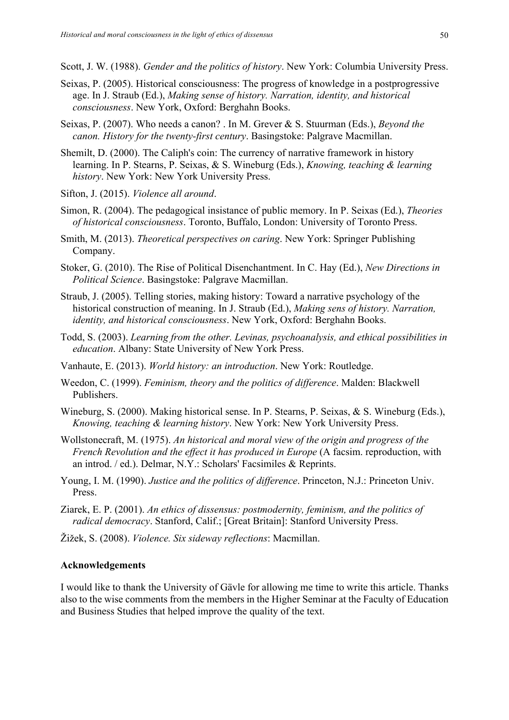Scott, J. W. (1988). *Gender and the politics of history*. New York: Columbia University Press.

- Seixas, P. (2005). Historical consciousness: The progress of knowledge in a postprogressive age. In J. Straub (Ed.), *Making sense of history. Narration, identity, and historical consciousness*. New York, Oxford: Berghahn Books.
- Seixas, P. (2007). Who needs a canon? . In M. Grever & S. Stuurman (Eds.), *Beyond the canon. History for the twenty-first century*. Basingstoke: Palgrave Macmillan.
- Shemilt, D. (2000). The Caliph's coin: The currency of narrative framework in history learning. In P. Stearns, P. Seixas, & S. Wineburg (Eds.), *Knowing, teaching & learning history*. New York: New York University Press.
- Sifton, J. (2015). *Violence all around*.
- Simon, R. (2004). The pedagogical insistance of public memory. In P. Seixas (Ed.), *Theories of historical consciousness*. Toronto, Buffalo, London: University of Toronto Press.
- Smith, M. (2013). *Theoretical perspectives on caring*. New York: Springer Publishing Company.
- Stoker, G. (2010). The Rise of Political Disenchantment. In C. Hay (Ed.), *New Directions in Political Science*. Basingstoke: Palgrave Macmillan.
- Straub, J. (2005). Telling stories, making history: Toward a narrative psychology of the historical construction of meaning. In J. Straub (Ed.), *Making sens of history. Narration, identity, and historical consciousness*. New York, Oxford: Berghahn Books.
- Todd, S. (2003). *Learning from the other. Levinas, psychoanalysis, and ethical possibilities in education*. Albany: State University of New York Press.
- Vanhaute, E. (2013). *World history: an introduction*. New York: Routledge.
- Weedon, C. (1999). *Feminism, theory and the politics of difference*. Malden: Blackwell Publishers.
- Wineburg, S. (2000). Making historical sense. In P. Stearns, P. Seixas, & S. Wineburg (Eds.), *Knowing, teaching & learning history*. New York: New York University Press.
- Wollstonecraft, M. (1975). *An historical and moral view of the origin and progress of the French Revolution and the effect it has produced in Europe* (A facsim. reproduction, with an introd. / ed.). Delmar, N.Y.: Scholars' Facsimiles & Reprints.
- Young, I. M. (1990). *Justice and the politics of difference*. Princeton, N.J.: Princeton Univ. Press.
- Ziarek, E. P. (2001). *An ethics of dissensus: postmodernity, feminism, and the politics of radical democracy*. Stanford, Calif.; [Great Britain]: Stanford University Press.
- Žižek, S. (2008). *Violence. Six sideway reflections*: Macmillan.

#### **Acknowledgements**

I would like to thank the University of Gävle for allowing me time to write this article. Thanks also to the wise comments from the members in the Higher Seminar at the Faculty of Education and Business Studies that helped improve the quality of the text.